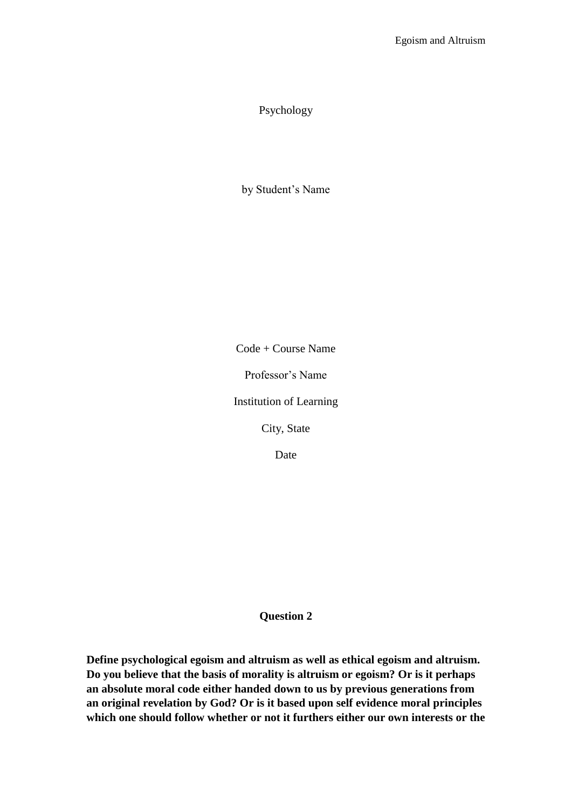## Psychology

by Student's Name

Code + Course Name

Professor's Name

Institution of Learning

City, State

Date

## **Question 2**

**Define psychological egoism and altruism as well as ethical egoism and altruism. Do you believe that the basis of morality is altruism or egoism? Or is it perhaps an absolute moral code either handed down to us by previous generations from an original revelation by God? Or is it based upon self evidence moral principles which one should follow whether or not it furthers either our own interests or the**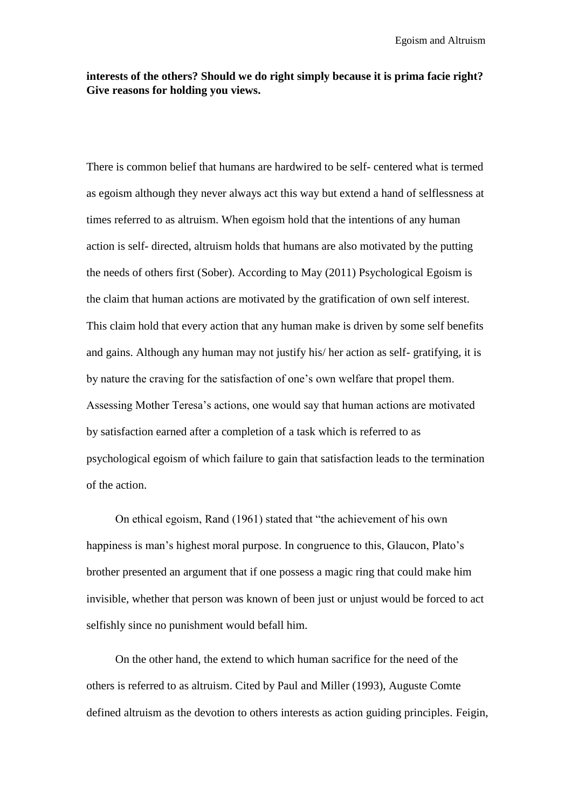## **interests of the others? Should we do right simply because it is prima facie right? Give reasons for holding you views.**

There is common belief that humans are hardwired to be self- centered what is termed as egoism although they never always act this way but extend a hand of selflessness at times referred to as altruism. When egoism hold that the intentions of any human action is self- directed, altruism holds that humans are also motivated by the putting the needs of others first (Sober). According to May (2011) Psychological Egoism is the claim that human actions are motivated by the gratification of own self interest. This claim hold that every action that any human make is driven by some self benefits and gains. Although any human may not justify his/ her action as self- gratifying, it is by nature the craving for the satisfaction of one's own welfare that propel them. Assessing Mother Teresa's actions, one would say that human actions are motivated by satisfaction earned after a completion of a task which is referred to as psychological egoism of which failure to gain that satisfaction leads to the termination of the action.

 On ethical egoism, Rand (1961) stated that "the achievement of his own happiness is man's highest moral purpose. In congruence to this, Glaucon, Plato's brother presented an argument that if one possess a magic ring that could make him invisible, whether that person was known of been just or unjust would be forced to act selfishly since no punishment would befall him.

 On the other hand, the extend to which human sacrifice for the need of the others is referred to as altruism. Cited by Paul and Miller (1993), Auguste Comte defined altruism as the devotion to others interests as action guiding principles. Feigin,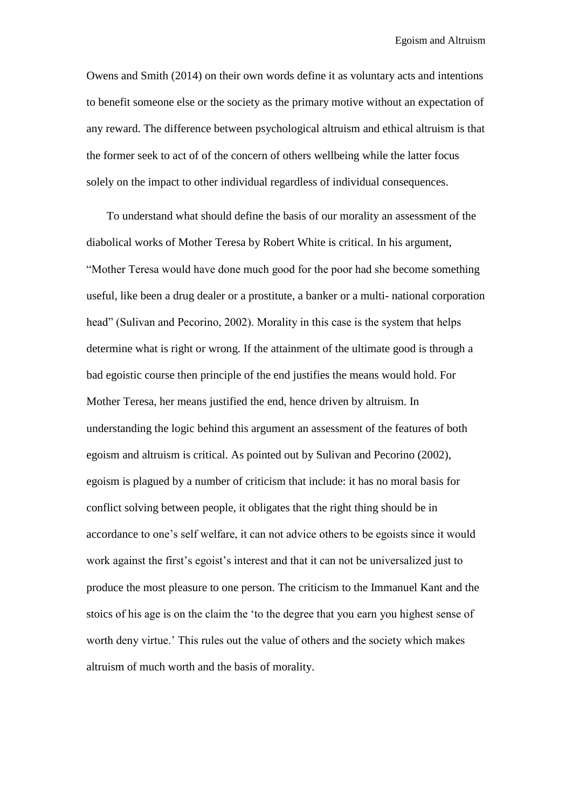Owens and Smith (2014) on their own words define it as voluntary acts and intentions to benefit someone else or the society as the primary motive without an expectation of any reward. The difference between psychological altruism and ethical altruism is that the former seek to act of of the concern of others wellbeing while the latter focus solely on the impact to other individual regardless of individual consequences.

To understand what should define the basis of our morality an assessment of the diabolical works of Mother Teresa by Robert White is critical. In his argument, "Mother Teresa would have done much good for the poor had she become something useful, like been a drug dealer or a prostitute, a banker or a multi- national corporation head" (Sulivan and Pecorino, 2002). Morality in this case is the system that helps determine what is right or wrong. If the attainment of the ultimate good is through a bad egoistic course then principle of the end justifies the means would hold. For Mother Teresa, her means justified the end, hence driven by altruism. In understanding the logic behind this argument an assessment of the features of both egoism and altruism is critical. As pointed out by Sulivan and Pecorino (2002), egoism is plagued by a number of criticism that include: it has no moral basis for conflict solving between people, it obligates that the right thing should be in accordance to one's self welfare, it can not advice others to be egoists since it would work against the first's egoist's interest and that it can not be universalized just to produce the most pleasure to one person. The criticism to the Immanuel Kant and the stoics of his age is on the claim the 'to the degree that you earn you highest sense of worth deny virtue.' This rules out the value of others and the society which makes altruism of much worth and the basis of morality.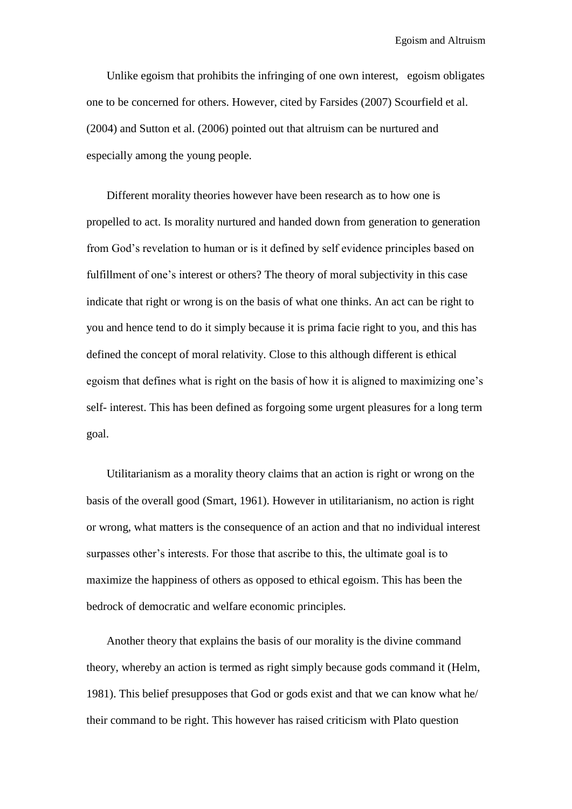Unlike egoism that prohibits the infringing of one own interest, egoism obligates one to be concerned for others. However, cited by Farsides (2007) Scourfield et al. (2004) and Sutton et al. (2006) pointed out that altruism can be nurtured and especially among the young people.

Different morality theories however have been research as to how one is propelled to act. Is morality nurtured and handed down from generation to generation from God's revelation to human or is it defined by self evidence principles based on fulfillment of one's interest or others? The theory of moral subjectivity in this case indicate that right or wrong is on the basis of what one thinks. An act can be right to you and hence tend to do it simply because it is prima facie right to you, and this has defined the concept of moral relativity. Close to this although different is ethical egoism that defines what is right on the basis of how it is aligned to maximizing one's self- interest. This has been defined as forgoing some urgent pleasures for a long term goal.

Utilitarianism as a morality theory claims that an action is right or wrong on the basis of the overall good (Smart, 1961). However in utilitarianism, no action is right or wrong, what matters is the consequence of an action and that no individual interest surpasses other's interests. For those that ascribe to this, the ultimate goal is to maximize the happiness of others as opposed to ethical egoism. This has been the bedrock of democratic and welfare economic principles.

Another theory that explains the basis of our morality is the divine command theory, whereby an action is termed as right simply because gods command it (Helm, 1981). This belief presupposes that God or gods exist and that we can know what he/ their command to be right. This however has raised criticism with Plato question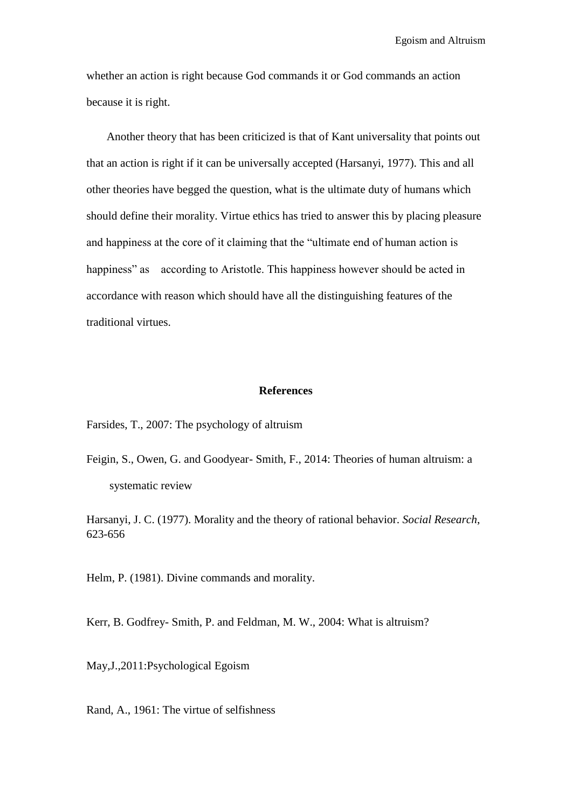whether an action is right because God commands it or God commands an action because it is right.

Another theory that has been criticized is that of Kant universality that points out that an action is right if it can be universally accepted (Harsanyi, 1977). This and all other theories have begged the question, what is the ultimate duty of humans which should define their morality. Virtue ethics has tried to answer this by placing pleasure and happiness at the core of it claiming that the "ultimate end of human action is happiness" as according to Aristotle. This happiness however should be acted in accordance with reason which should have all the distinguishing features of the traditional virtues.

## **References**

Farsides, T., 2007: The psychology of altruism

Feigin, S., Owen, G. and Goodyear- Smith, F., 2014: Theories of human altruism: a systematic review

Harsanyi, J. C. (1977). Morality and the theory of rational behavior. *Social Research*, 623-656

Helm, P. (1981). Divine commands and morality.

Kerr, B. Godfrey- Smith, P. and Feldman, M. W., 2004: What is altruism?

May,J.,2011:Psychological Egoism

Rand, A., 1961: The virtue of selfishness